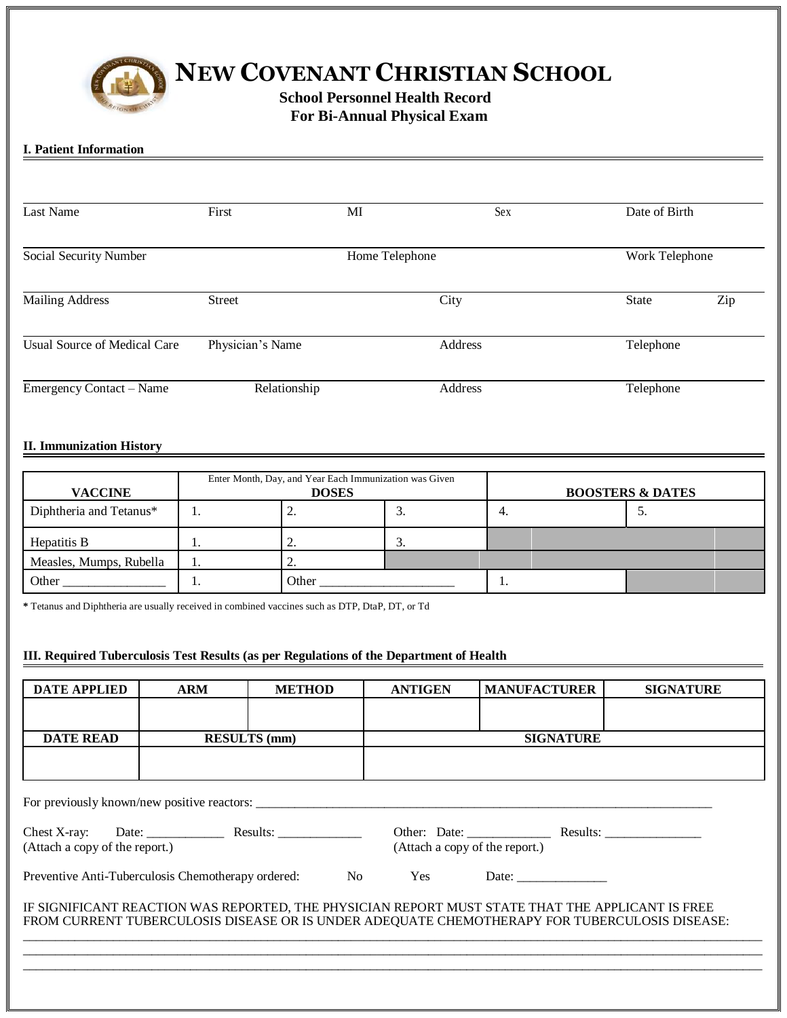

# **NEW COVENANT CHRISTIAN SCHOOL**

 **School Personnel Health Record For Bi-Annual Physical Exam**

## **I. Patient Information**

| <b>Last Name</b>                    | First            | MI             | Sex     | Date of Birth  |     |
|-------------------------------------|------------------|----------------|---------|----------------|-----|
| Social Security Number              |                  | Home Telephone |         | Work Telephone |     |
| <b>Mailing Address</b>              | <b>Street</b>    |                | City    | <b>State</b>   | Zip |
| <b>Usual Source of Medical Care</b> | Physician's Name |                | Address | Telephone      |     |
| Emergency Contact - Name            | Relationship     |                | Address | Telephone      |     |

## **II. Immunization History**

| <b>VACCINE</b>          | Enter Month, Day, and Year Each Immunization was Given<br><b>DOSES</b> |          |    | <b>BOOSTERS &amp; DATES</b> |    |  |
|-------------------------|------------------------------------------------------------------------|----------|----|-----------------------------|----|--|
| Diphtheria and Tetanus* | . .                                                                    | <u>.</u> | J. | 4.                          | J. |  |
| Hepatitis B             | . .                                                                    |          |    |                             |    |  |
| Measles, Mumps, Rubella |                                                                        |          |    |                             |    |  |
| Other                   | . .                                                                    | Other    |    | . .                         |    |  |

**\*** Tetanus and Diphtheria are usually received in combined vaccines such as DTP, DtaP, DT, or Td

### **III. Required Tuberculosis Test Results (as per Regulations of the Department of Health**

| <b>DATE APPLIED</b>                                                                                                                                                                               | <b>ARM</b>          | <b>METHOD</b>                               | <b>ANTIGEN</b> | <b>MANUFACTURER</b>            | <b>SIGNATURE</b> |  |  |  |
|---------------------------------------------------------------------------------------------------------------------------------------------------------------------------------------------------|---------------------|---------------------------------------------|----------------|--------------------------------|------------------|--|--|--|
|                                                                                                                                                                                                   |                     |                                             |                |                                |                  |  |  |  |
| <b>DATE READ</b>                                                                                                                                                                                  | <b>RESULTS</b> (mm) |                                             |                | <b>SIGNATURE</b>               |                  |  |  |  |
|                                                                                                                                                                                                   |                     |                                             |                |                                |                  |  |  |  |
|                                                                                                                                                                                                   |                     | For previously known/new positive reactors: |                |                                |                  |  |  |  |
| (Attach a copy of the report.)                                                                                                                                                                    |                     |                                             |                | (Attach a copy of the report.) |                  |  |  |  |
| Preventive Anti-Tuberculosis Chemotherapy ordered:                                                                                                                                                |                     |                                             | No Yes         | Date:                          |                  |  |  |  |
| IF SIGNIFICANT REACTION WAS REPORTED, THE PHYSICIAN REPORT MUST STATE THAT THE APPLICANT IS FREE<br>FROM CURRENT TUBERCULOSIS DISEASE OR IS UNDER ADEQUATE CHEMOTHERAPY FOR TUBERCULOSIS DISEASE: |                     |                                             |                |                                |                  |  |  |  |
|                                                                                                                                                                                                   |                     |                                             |                |                                |                  |  |  |  |